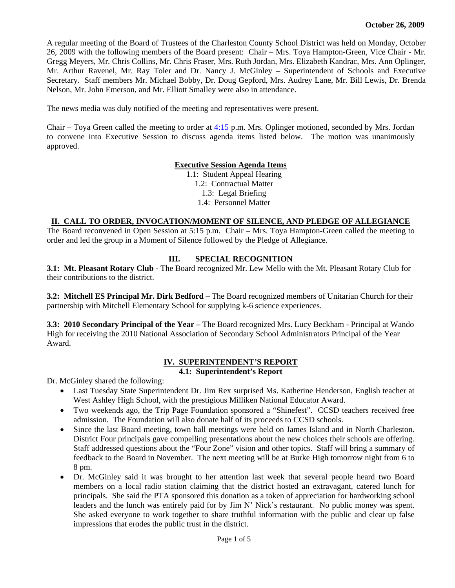A regular meeting of the Board of Trustees of the Charleston County School District was held on Monday, October 26, 2009 with the following members of the Board present: Chair – Mrs. Toya Hampton-Green, Vice Chair - Mr. Gregg Meyers, Mr. Chris Collins, Mr. Chris Fraser, Mrs. Ruth Jordan, Mrs. Elizabeth Kandrac, Mrs. Ann Oplinger, Mr. Arthur Ravenel, Mr. Ray Toler and Dr. Nancy J. McGinley – Superintendent of Schools and Executive Secretary. Staff members Mr. Michael Bobby, Dr. Doug Gepford, Mrs. Audrey Lane, Mr. Bill Lewis, Dr. Brenda Nelson, Mr. John Emerson, and Mr. Elliott Smalley were also in attendance.

The news media was duly notified of the meeting and representatives were present.

Chair – Toya Green called the meeting to order at 4:15 p.m. Mrs. Oplinger motioned, seconded by Mrs. Jordan to convene into Executive Session to discuss agenda items listed below. The motion was unanimously approved.

#### **Executive Session Agenda Items**

1.1: Student Appeal Hearing

1.2: Contractual Matter

1.3: Legal Briefing

1.4: Personnel Matter

#### **II. CALL TO ORDER, INVOCATION/MOMENT OF SILENCE, AND PLEDGE OF ALLEGIANCE**

The Board reconvened in Open Session at 5:15 p.m. Chair – Mrs. Toya Hampton-Green called the meeting to order and led the group in a Moment of Silence followed by the Pledge of Allegiance.

#### **III. SPECIAL RECOGNITION**

**3.1: Mt. Pleasant Rotary Club -** The Board recognized Mr. Lew Mello with the Mt. Pleasant Rotary Club for their contributions to the district.

**3.2: Mitchell ES Principal Mr. Dirk Bedford –** The Board recognized members of Unitarian Church for their partnership with Mitchell Elementary School for supplying k-6 science experiences.

**3.3: 2010 Secondary Principal of the Year –** The Board recognized Mrs. Lucy Beckham - Principal at Wando High for receiving the 2010 National Association of Secondary School Administrators Principal of the Year Award.

#### **IV. SUPERINTENDENT'S REPORT 4.1: Superintendent's Report**

Dr. McGinley shared the following:

- Last Tuesday State Superintendent Dr. Jim Rex surprised Ms. Katherine Henderson, English teacher at West Ashley High School, with the prestigious Milliken National Educator Award.
- Two weekends ago, the Trip Page Foundation sponsored a "Shinefest". CCSD teachers received free admission. The Foundation will also donate half of its proceeds to CCSD schools.
- Since the last Board meeting, town hall meetings were held on James Island and in North Charleston. District Four principals gave compelling presentations about the new choices their schools are offering. Staff addressed questions about the "Four Zone" vision and other topics. Staff will bring a summary of feedback to the Board in November. The next meeting will be at Burke High tomorrow night from 6 to 8 pm.
- Dr. McGinley said it was brought to her attention last week that several people heard two Board members on a local radio station claiming that the district hosted an extravagant, catered lunch for principals. She said the PTA sponsored this donation as a token of appreciation for hardworking school leaders and the lunch was entirely paid for by Jim N' Nick's restaurant. No public money was spent. She asked everyone to work together to share truthful information with the public and clear up false impressions that erodes the public trust in the district.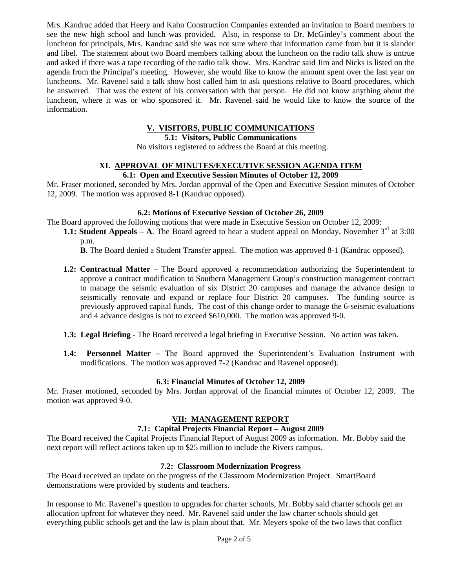Mrs. Kandrac added that Heery and Kahn Construction Companies extended an invitation to Board members to see the new high school and lunch was provided. Also, in response to Dr. McGinley's comment about the luncheon for principals, Mrs. Kandrac said she was not sure where that information came from but it is slander and libel. The statement about two Board members talking about the luncheon on the radio talk show is untrue and asked if there was a tape recording of the radio talk show. Mrs. Kandrac said Jim and Nicks is listed on the agenda from the Principal's meeting. However, she would like to know the amount spent over the last year on luncheons. Mr. Ravenel said a talk show host called him to ask questions relative to Board procedures, which he answered. That was the extent of his conversation with that person. He did not know anything about the luncheon, where it was or who sponsored it. Mr. Ravenel said he would like to know the source of the information.

# **V. VISITORS, PUBLIC COMMUNICATIONS**

**5.1: Visitors, Public Communications** 

No visitors registered to address the Board at this meeting.

# **XI. APPROVAL OF MINUTES/EXECUTIVE SESSION AGENDA ITEM**

**6.1: Open and Executive Session Minutes of October 12, 2009** 

Mr. Fraser motioned, seconded by Mrs. Jordan approval of the Open and Executive Session minutes of October 12, 2009. The motion was approved 8-1 (Kandrac opposed).

#### **6.2: Motions of Executive Session of October 26, 2009**

The Board approved the following motions that were made in Executive Session on October 12, 2009:

**1.1: Student Appeals** – A. The Board agreed to hear a student appeal on Monday, November  $3<sup>rd</sup>$  at 3:00 p.m.

 **B**. The Board denied a Student Transfer appeal. The motion was approved 8-1 (Kandrac opposed).

- **1.2: Contractual Matter** The Board approved a recommendation authorizing the Superintendent to approve a contract modification to Southern Management Group's construction management contract to manage the seismic evaluation of six District 20 campuses and manage the advance design to seismically renovate and expand or replace four District 20 campuses. The funding source is previously approved capital funds. The cost of this change order to manage the 6-seismic evaluations and 4 advance designs is not to exceed \$610,000. The motion was approved 9-0.
- **1.3: Legal Briefing** The Board received a legal briefing in Executive Session. No action was taken.
- **1.4: Personnel Matter** The Board approved the Superintendent's Evaluation Instrument with modifications. The motion was approved 7-2 (Kandrac and Ravenel opposed).

#### **6.3: Financial Minutes of October 12, 2009**

Mr. Fraser motioned, seconded by Mrs. Jordan approval of the financial minutes of October 12, 2009. The motion was approved 9-0.

## **VII: MANAGEMENT REPORT**

#### **7.1: Capital Projects Financial Report – August 2009**

The Board received the Capital Projects Financial Report of August 2009 as information. Mr. Bobby said the next report will reflect actions taken up to \$25 million to include the Rivers campus.

#### **7.2: Classroom Modernization Progress**

The Board received an update on the progress of the Classroom Modernization Project. SmartBoard demonstrations were provided by students and teachers.

In response to Mr. Ravenel's question to upgrades for charter schools, Mr. Bobby said charter schools get an allocation upfront for whatever they need. Mr. Ravenel said under the law charter schools should get everything public schools get and the law is plain about that. Mr. Meyers spoke of the two laws that conflict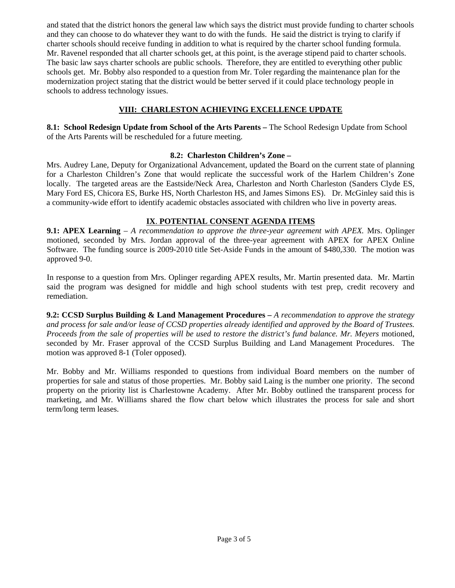and stated that the district honors the general law which says the district must provide funding to charter schools and they can choose to do whatever they want to do with the funds. He said the district is trying to clarify if charter schools should receive funding in addition to what is required by the charter school funding formula. Mr. Ravenel responded that all charter schools get, at this point, is the average stipend paid to charter schools. The basic law says charter schools are public schools. Therefore, they are entitled to everything other public schools get. Mr. Bobby also responded to a question from Mr. Toler regarding the maintenance plan for the modernization project stating that the district would be better served if it could place technology people in schools to address technology issues.

## **VIII: CHARLESTON ACHIEVING EXCELLENCE UPDATE**

**8.1: School Redesign Update from School of the Arts Parents –** The School Redesign Update from School of the Arts Parents will be rescheduled for a future meeting.

## **8.2: Charleston Children's Zone –**

Mrs. Audrey Lane, Deputy for Organizational Advancement, updated the Board on the current state of planning for a Charleston Children's Zone that would replicate the successful work of the Harlem Children's Zone locally. The targeted areas are the Eastside/Neck Area, Charleston and North Charleston (Sanders Clyde ES, Mary Ford ES, Chicora ES, Burke HS, North Charleston HS, and James Simons ES). Dr. McGinley said this is a community-wide effort to identify academic obstacles associated with children who live in poverty areas.

## **IX**. **POTENTIAL CONSENT AGENDA ITEMS**

**9.1: APEX Learning** – *A recommendation to approve the three-year agreement with APEX.* Mrs. Oplinger motioned, seconded by Mrs. Jordan approval of the three-year agreement with APEX for APEX Online Software. The funding source is 2009-2010 title Set-Aside Funds in the amount of \$480,330. The motion was approved 9-0.

In response to a question from Mrs. Oplinger regarding APEX results, Mr. Martin presented data. Mr. Martin said the program was designed for middle and high school students with test prep, credit recovery and remediation.

**9.2: CCSD Surplus Building & Land Management Procedures –** *A recommendation to approve the strategy and process for sale and/or lease of CCSD properties already identified and approved by the Board of Trustees. Proceeds from the sale of properties will be used to restore the district's fund balance. Mr. Meyers* motioned, seconded by Mr. Fraser approval of the CCSD Surplus Building and Land Management Procedures. The motion was approved 8-1 (Toler opposed).

Mr. Bobby and Mr. Williams responded to questions from individual Board members on the number of properties for sale and status of those properties. Mr. Bobby said Laing is the number one priority. The second property on the priority list is Charlestowne Academy. After Mr. Bobby outlined the transparent process for marketing, and Mr. Williams shared the flow chart below which illustrates the process for sale and short term/long term leases.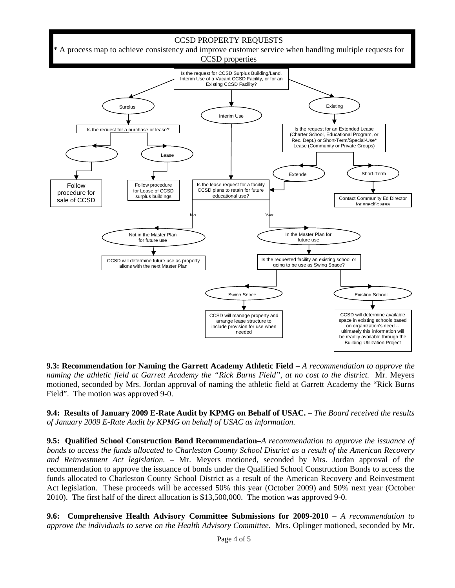

**9.3: Recommendation for Naming the Garrett Academy Athletic Field –** *A recommendation to approve the naming the athletic field at Garrett Academy the "Rick Burns Field", at no cost to the district.* Mr. Meyers motioned, seconded by Mrs. Jordan approval of naming the athletic field at Garrett Academy the "Rick Burns Field". The motion was approved 9-0.

**9.4: Results of January 2009 E-Rate Audit by KPMG on Behalf of USAC. –** *The Board received the results of January 2009 E-Rate Audit by KPMG on behalf of USAC as information.*

**9.5: Qualified School Construction Bond Recommendation–***A recommendation to approve the issuance of bonds to access the funds allocated to Charleston County School District as a result of the American Recovery and Reinvestment Act legislation.* – Mr. Meyers motioned, seconded by Mrs. Jordan approval of the recommendation to approve the issuance of bonds under the Qualified School Construction Bonds to access the funds allocated to Charleston County School District as a result of the American Recovery and Reinvestment Act legislation. These proceeds will be accessed 50% this year (October 2009) and 50% next year (October 2010). The first half of the direct allocation is \$13,500,000. The motion was approved 9-0.

**9.6: Comprehensive Health Advisory Committee Submissions for 2009-2010** *– A recommendation to approve the individuals to serve on the Health Advisory Committee.* Mrs. Oplinger motioned, seconded by Mr.